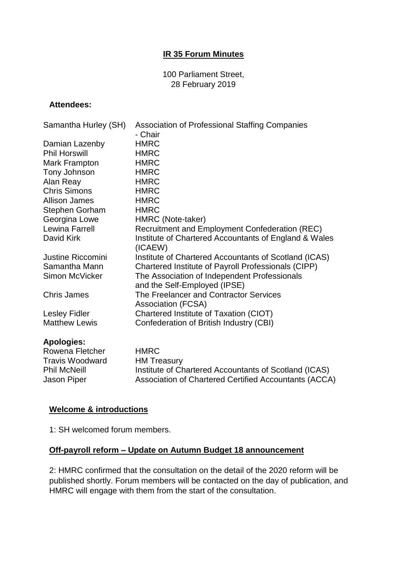## **IR 35 Forum Minutes**

100 Parliament Street, 28 February 2019

#### **Attendees:**

| Samantha Hurley (SH) | <b>Association of Professional Staffing Companies</b>                        |
|----------------------|------------------------------------------------------------------------------|
|                      | - Chair<br><b>HMRC</b>                                                       |
| Damian Lazenby       |                                                                              |
| <b>Phil Horswill</b> | <b>HMRC</b>                                                                  |
| Mark Frampton        | <b>HMRC</b>                                                                  |
| Tony Johnson         | <b>HMRC</b>                                                                  |
| Alan Reay            | <b>HMRC</b>                                                                  |
| <b>Chris Simons</b>  | <b>HMRC</b>                                                                  |
| <b>Allison James</b> | <b>HMRC</b>                                                                  |
| Stephen Gorham       | <b>HMRC</b>                                                                  |
| Georgina Lowe        | HMRC (Note-taker)                                                            |
| Lewina Farrell       | Recruitment and Employment Confederation (REC)                               |
| David Kirk           | Institute of Chartered Accountants of England & Wales<br>(ICAEW)             |
| Justine Riccomini    | Institute of Chartered Accountants of Scotland (ICAS)                        |
| Samantha Mann        | Chartered Institute of Payroll Professionals (CIPP)                          |
| Simon McVicker       | The Association of Independent Professionals<br>and the Self-Employed (IPSE) |
| <b>Chris James</b>   | The Freelancer and Contractor Services<br><b>Association (FCSA)</b>          |
| <b>Lesley Fidler</b> | Chartered Institute of Taxation (CIOT)                                       |
| <b>Matthew Lewis</b> | Confederation of British Industry (CBI)                                      |

| Apologies:             |             |
|------------------------|-------------|
| Rowena Fletcher        | <b>HMRC</b> |
| <b>Travis Woodward</b> | HM TI       |
| <b>Phil McNeill</b>    | Institu     |

Jason Piper

 $\mathsf C$ reasury Institute of Chartered Accountants of Scotland (ICAS) Association of Chartered Certified Accountants (ACCA)

#### **Welcome & introductions**

1: SH welcomed forum members.

## **Off-payroll reform – Update on Autumn Budget 18 announcement**

2: HMRC confirmed that the consultation on the detail of the 2020 reform will be published shortly. Forum members will be contacted on the day of publication, and HMRC will engage with them from the start of the consultation.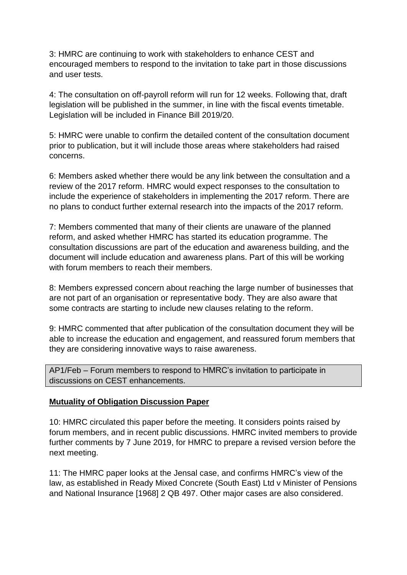3: HMRC are continuing to work with stakeholders to enhance CEST and encouraged members to respond to the invitation to take part in those discussions and user tests.

4: The consultation on off-payroll reform will run for 12 weeks. Following that, draft legislation will be published in the summer, in line with the fiscal events timetable. Legislation will be included in Finance Bill 2019/20.

5: HMRC were unable to confirm the detailed content of the consultation document prior to publication, but it will include those areas where stakeholders had raised concerns.

6: Members asked whether there would be any link between the consultation and a review of the 2017 reform. HMRC would expect responses to the consultation to include the experience of stakeholders in implementing the 2017 reform. There are no plans to conduct further external research into the impacts of the 2017 reform.

7: Members commented that many of their clients are unaware of the planned reform, and asked whether HMRC has started its education programme. The consultation discussions are part of the education and awareness building, and the document will include education and awareness plans. Part of this will be working with forum members to reach their members.

8: Members expressed concern about reaching the large number of businesses that are not part of an organisation or representative body. They are also aware that some contracts are starting to include new clauses relating to the reform.

9: HMRC commented that after publication of the consultation document they will be able to increase the education and engagement, and reassured forum members that they are considering innovative ways to raise awareness.

AP1/Feb – Forum members to respond to HMRC's invitation to participate in discussions on CEST enhancements.

# **Mutuality of Obligation Discussion Paper**

10: HMRC circulated this paper before the meeting. It considers points raised by forum members, and in recent public discussions. HMRC invited members to provide further comments by 7 June 2019, for HMRC to prepare a revised version before the next meeting.

11: The HMRC paper looks at the Jensal case, and confirms HMRC's view of the law, as established in Ready Mixed Concrete (South East) Ltd v Minister of Pensions and National Insurance [1968] 2 QB 497. Other major cases are also considered.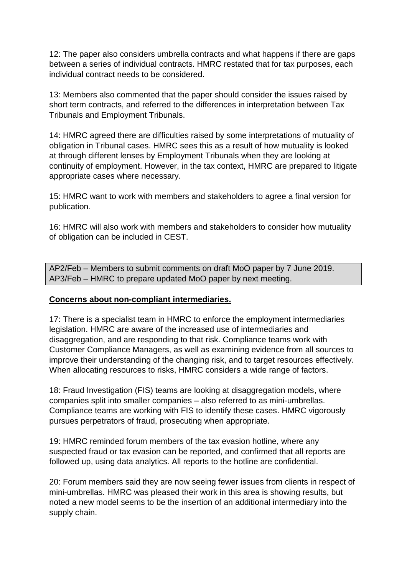12: The paper also considers umbrella contracts and what happens if there are gaps between a series of individual contracts. HMRC restated that for tax purposes, each individual contract needs to be considered.

13: Members also commented that the paper should consider the issues raised by short term contracts, and referred to the differences in interpretation between Tax Tribunals and Employment Tribunals.

14: HMRC agreed there are difficulties raised by some interpretations of mutuality of obligation in Tribunal cases. HMRC sees this as a result of how mutuality is looked at through different lenses by Employment Tribunals when they are looking at continuity of employment. However, in the tax context, HMRC are prepared to litigate appropriate cases where necessary.

15: HMRC want to work with members and stakeholders to agree a final version for publication.

16: HMRC will also work with members and stakeholders to consider how mutuality of obligation can be included in CEST.

AP2/Feb – Members to submit comments on draft MoO paper by 7 June 2019. AP3/Feb – HMRC to prepare updated MoO paper by next meeting.

# **Concerns about non-compliant intermediaries.**

17: There is a specialist team in HMRC to enforce the employment intermediaries legislation. HMRC are aware of the increased use of intermediaries and disaggregation, and are responding to that risk. Compliance teams work with Customer Compliance Managers, as well as examining evidence from all sources to improve their understanding of the changing risk, and to target resources effectively. When allocating resources to risks, HMRC considers a wide range of factors.

18: Fraud Investigation (FIS) teams are looking at disaggregation models, where companies split into smaller companies – also referred to as mini-umbrellas. Compliance teams are working with FIS to identify these cases. HMRC vigorously pursues perpetrators of fraud, prosecuting when appropriate.

19: HMRC reminded forum members of the tax evasion hotline, where any suspected fraud or tax evasion can be reported, and confirmed that all reports are followed up, using data analytics. All reports to the hotline are confidential.

20: Forum members said they are now seeing fewer issues from clients in respect of mini-umbrellas. HMRC was pleased their work in this area is showing results, but noted a new model seems to be the insertion of an additional intermediary into the supply chain.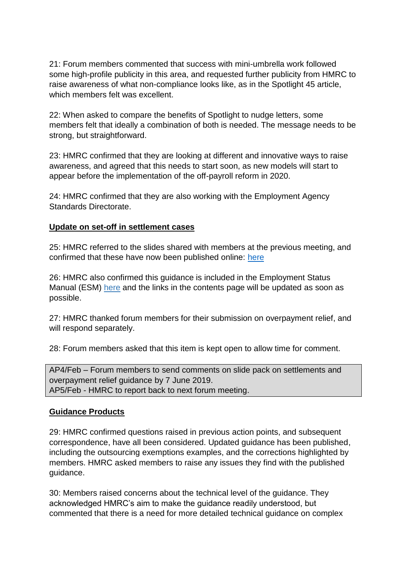21: Forum members commented that success with mini-umbrella work followed some high-profile publicity in this area, and requested further publicity from HMRC to raise awareness of what non-compliance looks like, as in the Spotlight 45 article, which members felt was excellent.

22: When asked to compare the benefits of Spotlight to nudge letters, some members felt that ideally a combination of both is needed. The message needs to be strong, but straightforward.

23: HMRC confirmed that they are looking at different and innovative ways to raise awareness, and agreed that this needs to start soon, as new models will start to appear before the implementation of the off-payroll reform in 2020.

24: HMRC confirmed that they are also working with the Employment Agency Standards Directorate.

#### **Update on set-off in settlement cases**

25: HMRC referred to the slides shared with members at the previous meeting, and confirmed that these have now been published online: [here](https://assets.publishing.service.gov.uk/government/uploads/system/uploads/attachment_data/file/753658/IR35_Forum_-_Presentation_on_IR35_Settlement_calculations__S58_and_S139_Relief_.pdf)

26: HMRC also confirmed this guidance is included in the Employment Status Manual (ESM) [here](https://www.gov.uk/hmrc-internal-manuals/employment-status-manual/esm8415) and the links in the contents page will be updated as soon as possible.

27: HMRC thanked forum members for their submission on overpayment relief, and will respond separately.

28: Forum members asked that this item is kept open to allow time for comment.

AP4/Feb – Forum members to send comments on slide pack on settlements and overpayment relief guidance by 7 June 2019. AP5/Feb - HMRC to report back to next forum meeting.

#### **Guidance Products**

29: HMRC confirmed questions raised in previous action points, and subsequent correspondence, have all been considered. Updated guidance has been published, including the outsourcing exemptions examples, and the corrections highlighted by members. HMRC asked members to raise any issues they find with the published guidance.

30: Members raised concerns about the technical level of the guidance. They acknowledged HMRC's aim to make the guidance readily understood, but commented that there is a need for more detailed technical guidance on complex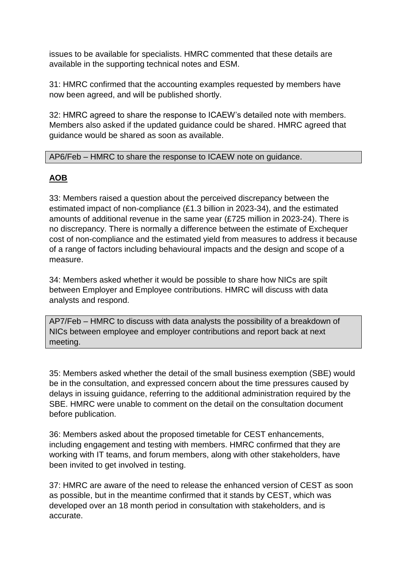issues to be available for specialists. HMRC commented that these details are available in the supporting technical notes and ESM.

31: HMRC confirmed that the accounting examples requested by members have now been agreed, and will be published shortly.

32: HMRC agreed to share the response to ICAEW's detailed note with members. Members also asked if the updated guidance could be shared. HMRC agreed that guidance would be shared as soon as available.

## AP6/Feb – HMRC to share the response to ICAEW note on guidance.

# **AOB**

33: Members raised a question about the perceived discrepancy between the estimated impact of non-compliance (£1.3 billion in 2023-34), and the estimated amounts of additional revenue in the same year (£725 million in 2023-24). There is no discrepancy. There is normally a difference between the estimate of Exchequer cost of non-compliance and the estimated yield from measures to address it because of a range of factors including behavioural impacts and the design and scope of a measure.

34: Members asked whether it would be possible to share how NICs are spilt between Employer and Employee contributions. HMRC will discuss with data analysts and respond.

AP7/Feb – HMRC to discuss with data analysts the possibility of a breakdown of NICs between employee and employer contributions and report back at next meeting.

35: Members asked whether the detail of the small business exemption (SBE) would be in the consultation, and expressed concern about the time pressures caused by delays in issuing guidance, referring to the additional administration required by the SBE. HMRC were unable to comment on the detail on the consultation document before publication.

36: Members asked about the proposed timetable for CEST enhancements, including engagement and testing with members. HMRC confirmed that they are working with IT teams, and forum members, along with other stakeholders, have been invited to get involved in testing.

37: HMRC are aware of the need to release the enhanced version of CEST as soon as possible, but in the meantime confirmed that it stands by CEST, which was developed over an 18 month period in consultation with stakeholders, and is accurate.